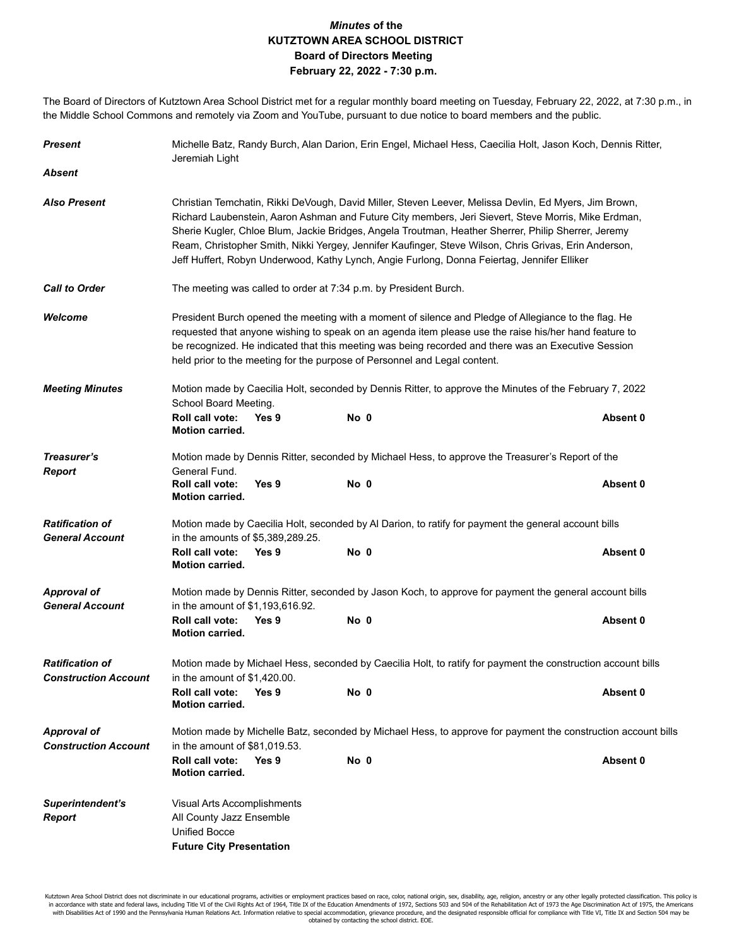## *Minutes* **of the KUTZTOWN AREA SCHOOL DISTRICT Board of Directors Meeting February 22, 2022 - 7:30 p.m.**

The Board of Directors of Kutztown Area School District met for a regular monthly board meeting on Tuesday, February 22, 2022, at 7:30 p.m., in the Middle School Commons and remotely via Zoom and YouTube, pursuant to due notice to board members and the public.

| Michelle Batz, Randy Burch, Alan Darion, Erin Engel, Michael Hess, Caecilia Holt, Jason Koch, Dennis Ritter,<br>Jeremiah Light                                                                                                                                                                                                                                                                                                                                                                                              |                      |                                                                                                                                                                                              |  |                                                                                                                                                        |  |  |
|-----------------------------------------------------------------------------------------------------------------------------------------------------------------------------------------------------------------------------------------------------------------------------------------------------------------------------------------------------------------------------------------------------------------------------------------------------------------------------------------------------------------------------|----------------------|----------------------------------------------------------------------------------------------------------------------------------------------------------------------------------------------|--|--------------------------------------------------------------------------------------------------------------------------------------------------------|--|--|
|                                                                                                                                                                                                                                                                                                                                                                                                                                                                                                                             |                      |                                                                                                                                                                                              |  |                                                                                                                                                        |  |  |
| Christian Temchatin, Rikki DeVough, David Miller, Steven Leever, Melissa Devlin, Ed Myers, Jim Brown,<br>Richard Laubenstein, Aaron Ashman and Future City members, Jeri Sievert, Steve Morris, Mike Erdman,<br>Sherie Kugler, Chloe Blum, Jackie Bridges, Angela Troutman, Heather Sherrer, Philip Sherrer, Jeremy<br>Ream, Christopher Smith, Nikki Yergey, Jennifer Kaufinger, Steve Wilson, Chris Grivas, Erin Anderson,<br>Jeff Huffert, Robyn Underwood, Kathy Lynch, Angie Furlong, Donna Feiertag, Jennifer Elliker |                      |                                                                                                                                                                                              |  |                                                                                                                                                        |  |  |
| The meeting was called to order at 7:34 p.m. by President Burch.                                                                                                                                                                                                                                                                                                                                                                                                                                                            |                      |                                                                                                                                                                                              |  |                                                                                                                                                        |  |  |
| President Burch opened the meeting with a moment of silence and Pledge of Allegiance to the flag. He<br>requested that anyone wishing to speak on an agenda item please use the raise his/her hand feature to<br>be recognized. He indicated that this meeting was being recorded and there was an Executive Session<br>held prior to the meeting for the purpose of Personnel and Legal content.                                                                                                                           |                      |                                                                                                                                                                                              |  |                                                                                                                                                        |  |  |
| Motion made by Caecilia Holt, seconded by Dennis Ritter, to approve the Minutes of the February 7, 2022                                                                                                                                                                                                                                                                                                                                                                                                                     |                      |                                                                                                                                                                                              |  |                                                                                                                                                        |  |  |
| Roll call vote:<br><b>Motion carried.</b>                                                                                                                                                                                                                                                                                                                                                                                                                                                                                   | Yes 9                |                                                                                                                                                                                              |  | Absent 0                                                                                                                                               |  |  |
| Motion made by Dennis Ritter, seconded by Michael Hess, to approve the Treasurer's Report of the<br>General Fund.                                                                                                                                                                                                                                                                                                                                                                                                           |                      |                                                                                                                                                                                              |  |                                                                                                                                                        |  |  |
| <b>Roll call vote:</b><br><b>Motion carried.</b>                                                                                                                                                                                                                                                                                                                                                                                                                                                                            | Yes 9                |                                                                                                                                                                                              |  | Absent 0                                                                                                                                               |  |  |
| Motion made by Caecilia Holt, seconded by Al Darion, to ratify for payment the general account bills                                                                                                                                                                                                                                                                                                                                                                                                                        |                      |                                                                                                                                                                                              |  |                                                                                                                                                        |  |  |
| Roll call vote:<br><b>Motion carried.</b>                                                                                                                                                                                                                                                                                                                                                                                                                                                                                   | Yes 9                |                                                                                                                                                                                              |  | Absent 0                                                                                                                                               |  |  |
|                                                                                                                                                                                                                                                                                                                                                                                                                                                                                                                             |                      |                                                                                                                                                                                              |  |                                                                                                                                                        |  |  |
| <b>Roll call vote:</b><br><b>Motion carried.</b>                                                                                                                                                                                                                                                                                                                                                                                                                                                                            | Yes 9                |                                                                                                                                                                                              |  | Absent 0                                                                                                                                               |  |  |
| Motion made by Michael Hess, seconded by Caecilia Holt, to ratify for payment the construction account bills<br>in the amount of $$1,420.00$ .                                                                                                                                                                                                                                                                                                                                                                              |                      |                                                                                                                                                                                              |  |                                                                                                                                                        |  |  |
| <b>Roll call vote:</b><br><b>Motion carried.</b>                                                                                                                                                                                                                                                                                                                                                                                                                                                                            | Yes 9                |                                                                                                                                                                                              |  | Absent 0                                                                                                                                               |  |  |
| Motion made by Michelle Batz, seconded by Michael Hess, to approve for payment the construction account bills<br>in the amount of \$81,019.53.                                                                                                                                                                                                                                                                                                                                                                              |                      |                                                                                                                                                                                              |  |                                                                                                                                                        |  |  |
| Roll call vote:<br><b>Motion carried.</b>                                                                                                                                                                                                                                                                                                                                                                                                                                                                                   | Yes 9                |                                                                                                                                                                                              |  | Absent 0                                                                                                                                               |  |  |
|                                                                                                                                                                                                                                                                                                                                                                                                                                                                                                                             |                      |                                                                                                                                                                                              |  |                                                                                                                                                        |  |  |
|                                                                                                                                                                                                                                                                                                                                                                                                                                                                                                                             |                      |                                                                                                                                                                                              |  |                                                                                                                                                        |  |  |
|                                                                                                                                                                                                                                                                                                                                                                                                                                                                                                                             |                      |                                                                                                                                                                                              |  |                                                                                                                                                        |  |  |
|                                                                                                                                                                                                                                                                                                                                                                                                                                                                                                                             | <b>Unified Bocce</b> | School Board Meeting.<br>in the amounts of \$5,389,289.25.<br>in the amount of \$1,193,616.92.<br>Visual Arts Accomplishments<br>All County Jazz Ensemble<br><b>Future City Presentation</b> |  | No 0<br>No 0<br>No 0<br>Motion made by Dennis Ritter, seconded by Jason Koch, to approve for payment the general account bills<br>No 0<br>No 0<br>No 0 |  |  |

Kutztown Area School District does not discriminate in our educational programs, activities or employment practices based on race, color, national origin, sex, disability, age, religion, ancestry or any other legally prote obtained by contacting the school district. EOE.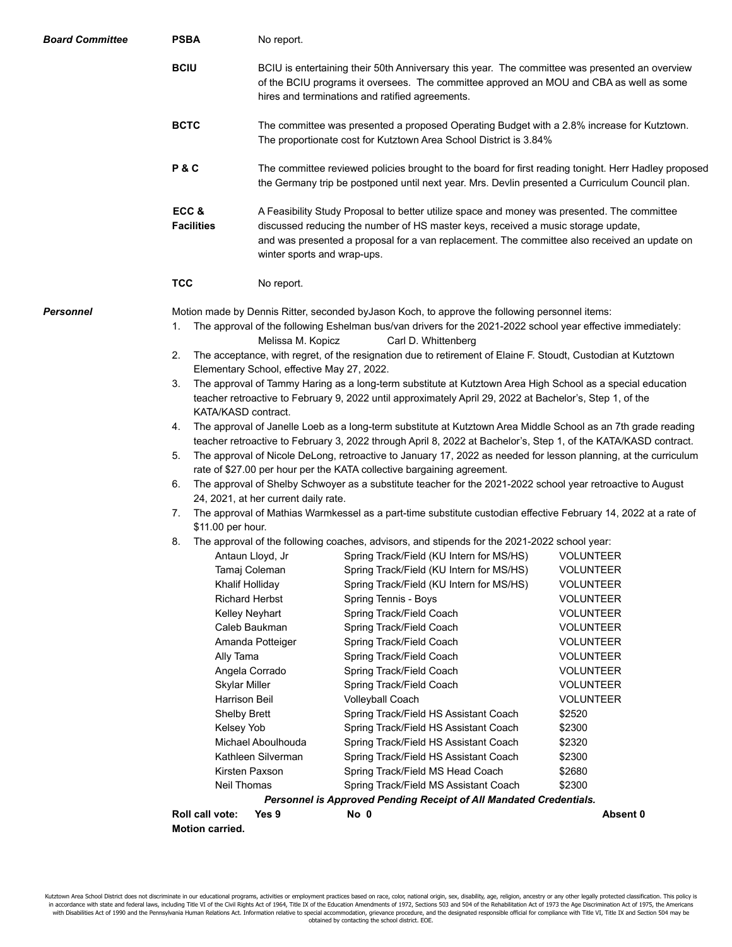| <b>BCIU</b><br>BCIU is entertaining their 50th Anniversary this year. The committee was presented an overview<br>of the BCIU programs it oversees. The committee approved an MOU and CBA as well as some<br>hires and terminations and ratified agreements.<br><b>BCTC</b><br>The committee was presented a proposed Operating Budget with a 2.8% increase for Kutztown.<br>The proportionate cost for Kutztown Area School District is 3.84%<br>P&C<br>The committee reviewed policies brought to the board for first reading tonight. Herr Hadley proposed<br>the Germany trip be postponed until next year. Mrs. Devlin presented a Curriculum Council plan.<br>ECC&<br>A Feasibility Study Proposal to better utilize space and money was presented. The committee<br><b>Facilities</b><br>discussed reducing the number of HS master keys, received a music storage update,<br>and was presented a proposal for a van replacement. The committee also received an update on<br>winter sports and wrap-ups.<br><b>TCC</b><br>No report.<br>Personnel<br>Motion made by Dennis Ritter, seconded by Jason Koch, to approve the following personnel items:<br>The approval of the following Eshelman bus/van drivers for the 2021-2022 school year effective immediately:<br>1.<br>Melissa M. Kopicz<br>Carl D. Whittenberg<br>The acceptance, with regret, of the resignation due to retirement of Elaine F. Stoudt, Custodian at Kutztown<br>2.<br>Elementary School, effective May 27, 2022.<br>The approval of Tammy Haring as a long-term substitute at Kutztown Area High School as a special education<br>3.<br>teacher retroactive to February 9, 2022 until approximately April 29, 2022 at Bachelor's, Step 1, of the<br>KATA/KASD contract.<br>The approval of Janelle Loeb as a long-term substitute at Kutztown Area Middle School as an 7th grade reading<br>4.<br>teacher retroactive to February 3, 2022 through April 8, 2022 at Bachelor's, Step 1, of the KATA/KASD contract.<br>The approval of Nicole DeLong, retroactive to January 17, 2022 as needed for lesson planning, at the curriculum<br>5.<br>rate of \$27.00 per hour per the KATA collective bargaining agreement.<br>The approval of Shelby Schwoyer as a substitute teacher for the 2021-2022 school year retroactive to August<br>6.<br>24, 2021, at her current daily rate.<br>The approval of Mathias Warmkessel as a part-time substitute custodian effective February 14, 2022 at a rate of<br>7.<br>\$11.00 per hour.<br>The approval of the following coaches, advisors, and stipends for the 2021-2022 school year:<br>8.<br>Spring Track/Field (KU Intern for MS/HS)<br><b>VOLUNTEER</b><br>Antaun Lloyd, Jr<br>Tamaj Coleman<br>Spring Track/Field (KU Intern for MS/HS)<br>VOLUNTEER<br>Khalif Holliday<br>Spring Track/Field (KU Intern for MS/HS)<br><b>VOLUNTEER</b><br><b>Richard Herbst</b><br>Spring Tennis - Boys<br><b>VOLUNTEER</b><br>Kelley Neyhart<br>Spring Track/Field Coach<br><b>VOLUNTEER</b><br>Caleb Baukman<br>Spring Track/Field Coach<br><b>VOLUNTEER</b><br>Amanda Potteiger<br>Spring Track/Field Coach<br><b>VOLUNTEER</b><br>Ally Tama<br>Spring Track/Field Coach<br><b>VOLUNTEER</b><br>Angela Corrado<br>Spring Track/Field Coach<br><b>VOLUNTEER</b><br><b>Skylar Miller</b><br>Spring Track/Field Coach<br><b>VOLUNTEER</b><br>Harrison Beil<br><b>Volleyball Coach</b><br><b>VOLUNTEER</b><br><b>Shelby Brett</b><br>Spring Track/Field HS Assistant Coach<br>\$2520<br>Kelsey Yob<br>Spring Track/Field HS Assistant Coach<br>\$2300<br>Michael Aboulhouda<br>Spring Track/Field HS Assistant Coach<br>\$2320<br>Kathleen Silverman<br>Spring Track/Field HS Assistant Coach<br>\$2300<br>Kirsten Paxson | <b>Board Committee</b> | <b>PSBA</b>     | No report. |                                          |                    |  |  |
|------------------------------------------------------------------------------------------------------------------------------------------------------------------------------------------------------------------------------------------------------------------------------------------------------------------------------------------------------------------------------------------------------------------------------------------------------------------------------------------------------------------------------------------------------------------------------------------------------------------------------------------------------------------------------------------------------------------------------------------------------------------------------------------------------------------------------------------------------------------------------------------------------------------------------------------------------------------------------------------------------------------------------------------------------------------------------------------------------------------------------------------------------------------------------------------------------------------------------------------------------------------------------------------------------------------------------------------------------------------------------------------------------------------------------------------------------------------------------------------------------------------------------------------------------------------------------------------------------------------------------------------------------------------------------------------------------------------------------------------------------------------------------------------------------------------------------------------------------------------------------------------------------------------------------------------------------------------------------------------------------------------------------------------------------------------------------------------------------------------------------------------------------------------------------------------------------------------------------------------------------------------------------------------------------------------------------------------------------------------------------------------------------------------------------------------------------------------------------------------------------------------------------------------------------------------------------------------------------------------------------------------------------------------------------------------------------------------------------------------------------------------------------------------------------------------------------------------------------------------------------------------------------------------------------------------------------------------------------------------------------------------------------------------------------------------------------------------------------------------------------------------------------------------------------------------------------------------------------------------------------------------------------------------------------------------------------------------------------------------------------------------------------------------------------------------------------------------------------------------------------------------------------------------------------------------------------------------------------------------------------------------------------------------------------------------------------------------------------------------|------------------------|-----------------|------------|------------------------------------------|--------------------|--|--|
|                                                                                                                                                                                                                                                                                                                                                                                                                                                                                                                                                                                                                                                                                                                                                                                                                                                                                                                                                                                                                                                                                                                                                                                                                                                                                                                                                                                                                                                                                                                                                                                                                                                                                                                                                                                                                                                                                                                                                                                                                                                                                                                                                                                                                                                                                                                                                                                                                                                                                                                                                                                                                                                                                                                                                                                                                                                                                                                                                                                                                                                                                                                                                                                                                                                                                                                                                                                                                                                                                                                                                                                                                                                                                                                                          |                        |                 |            |                                          |                    |  |  |
|                                                                                                                                                                                                                                                                                                                                                                                                                                                                                                                                                                                                                                                                                                                                                                                                                                                                                                                                                                                                                                                                                                                                                                                                                                                                                                                                                                                                                                                                                                                                                                                                                                                                                                                                                                                                                                                                                                                                                                                                                                                                                                                                                                                                                                                                                                                                                                                                                                                                                                                                                                                                                                                                                                                                                                                                                                                                                                                                                                                                                                                                                                                                                                                                                                                                                                                                                                                                                                                                                                                                                                                                                                                                                                                                          |                        |                 |            |                                          |                    |  |  |
|                                                                                                                                                                                                                                                                                                                                                                                                                                                                                                                                                                                                                                                                                                                                                                                                                                                                                                                                                                                                                                                                                                                                                                                                                                                                                                                                                                                                                                                                                                                                                                                                                                                                                                                                                                                                                                                                                                                                                                                                                                                                                                                                                                                                                                                                                                                                                                                                                                                                                                                                                                                                                                                                                                                                                                                                                                                                                                                                                                                                                                                                                                                                                                                                                                                                                                                                                                                                                                                                                                                                                                                                                                                                                                                                          |                        |                 |            |                                          |                    |  |  |
|                                                                                                                                                                                                                                                                                                                                                                                                                                                                                                                                                                                                                                                                                                                                                                                                                                                                                                                                                                                                                                                                                                                                                                                                                                                                                                                                                                                                                                                                                                                                                                                                                                                                                                                                                                                                                                                                                                                                                                                                                                                                                                                                                                                                                                                                                                                                                                                                                                                                                                                                                                                                                                                                                                                                                                                                                                                                                                                                                                                                                                                                                                                                                                                                                                                                                                                                                                                                                                                                                                                                                                                                                                                                                                                                          |                        |                 |            |                                          |                    |  |  |
|                                                                                                                                                                                                                                                                                                                                                                                                                                                                                                                                                                                                                                                                                                                                                                                                                                                                                                                                                                                                                                                                                                                                                                                                                                                                                                                                                                                                                                                                                                                                                                                                                                                                                                                                                                                                                                                                                                                                                                                                                                                                                                                                                                                                                                                                                                                                                                                                                                                                                                                                                                                                                                                                                                                                                                                                                                                                                                                                                                                                                                                                                                                                                                                                                                                                                                                                                                                                                                                                                                                                                                                                                                                                                                                                          |                        |                 |            |                                          |                    |  |  |
| Neil Thomas<br>Spring Track/Field MS Assistant Coach<br>\$2300<br><b>Personnel is Approved Pending Receipt of All Mandated Credentials.</b>                                                                                                                                                                                                                                                                                                                                                                                                                                                                                                                                                                                                                                                                                                                                                                                                                                                                                                                                                                                                                                                                                                                                                                                                                                                                                                                                                                                                                                                                                                                                                                                                                                                                                                                                                                                                                                                                                                                                                                                                                                                                                                                                                                                                                                                                                                                                                                                                                                                                                                                                                                                                                                                                                                                                                                                                                                                                                                                                                                                                                                                                                                                                                                                                                                                                                                                                                                                                                                                                                                                                                                                              |                        | Roll call vote: | Yes 9      | Spring Track/Field MS Head Coach<br>No 0 | \$2680<br>Absent 0 |  |  |
|                                                                                                                                                                                                                                                                                                                                                                                                                                                                                                                                                                                                                                                                                                                                                                                                                                                                                                                                                                                                                                                                                                                                                                                                                                                                                                                                                                                                                                                                                                                                                                                                                                                                                                                                                                                                                                                                                                                                                                                                                                                                                                                                                                                                                                                                                                                                                                                                                                                                                                                                                                                                                                                                                                                                                                                                                                                                                                                                                                                                                                                                                                                                                                                                                                                                                                                                                                                                                                                                                                                                                                                                                                                                                                                                          |                        | Motion carried. |            |                                          |                    |  |  |

Kutztown Area School District does not discriminate in our educational programs, activities or employment practices based on race, color, national origin, sex, disability, age, religion, ancestry or any other legally prote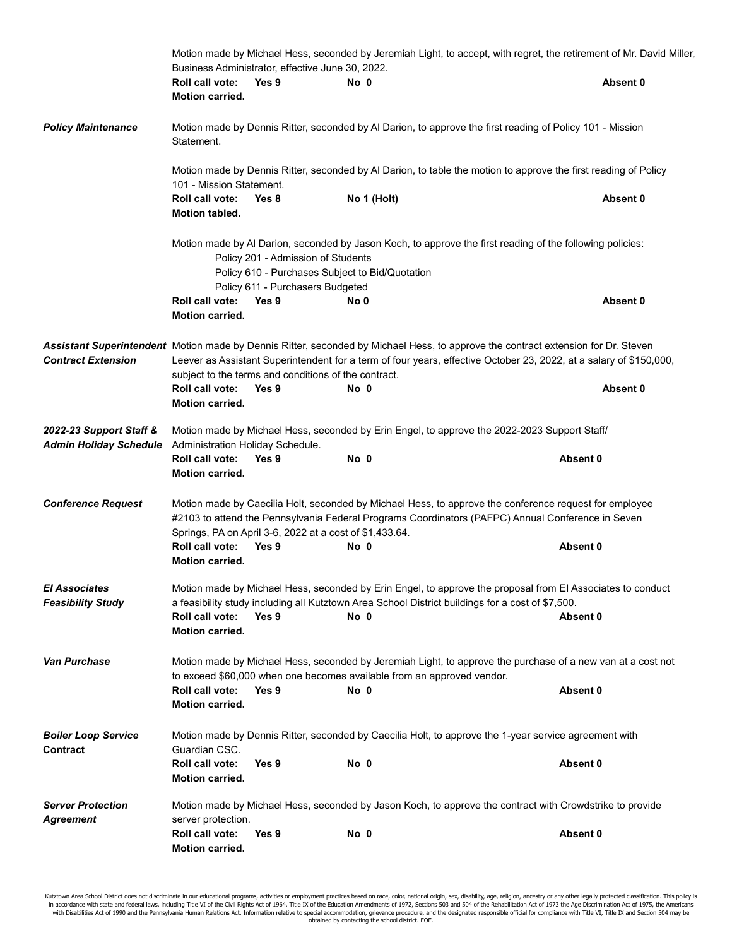|                                                          | Motion made by Michael Hess, seconded by Jeremiah Light, to accept, with regret, the retirement of Mr. David Miller,<br>Business Administrator, effective June 30, 2022.                                                               |                                                                  |      |                                                                                                                                                                                                                                                         |          |  |
|----------------------------------------------------------|----------------------------------------------------------------------------------------------------------------------------------------------------------------------------------------------------------------------------------------|------------------------------------------------------------------|------|---------------------------------------------------------------------------------------------------------------------------------------------------------------------------------------------------------------------------------------------------------|----------|--|
|                                                          | Roll call vote:<br>Motion carried.                                                                                                                                                                                                     | Yes 9                                                            | No 0 |                                                                                                                                                                                                                                                         | Absent 0 |  |
| <b>Policy Maintenance</b>                                | Statement.                                                                                                                                                                                                                             |                                                                  |      | Motion made by Dennis Ritter, seconded by Al Darion, to approve the first reading of Policy 101 - Mission                                                                                                                                               |          |  |
|                                                          | 101 - Mission Statement.                                                                                                                                                                                                               |                                                                  |      | Motion made by Dennis Ritter, seconded by Al Darion, to table the motion to approve the first reading of Policy                                                                                                                                         |          |  |
|                                                          | Roll call vote:<br>Motion tabled.                                                                                                                                                                                                      | Yes 8                                                            |      | No 1 (Holt)                                                                                                                                                                                                                                             | Absent 0 |  |
|                                                          | Motion made by Al Darion, seconded by Jason Koch, to approve the first reading of the following policies:<br>Policy 201 - Admission of Students<br>Policy 610 - Purchases Subject to Bid/Quotation<br>Policy 611 - Purchasers Budgeted |                                                                  |      |                                                                                                                                                                                                                                                         |          |  |
|                                                          | Roll call vote:<br><b>Motion carried.</b>                                                                                                                                                                                              | Yes 9                                                            | No 0 |                                                                                                                                                                                                                                                         | Absent 0 |  |
| <b>Contract Extension</b>                                | Roll call vote:                                                                                                                                                                                                                        | subject to the terms and conditions of the contract.<br>Yes 9    | No 0 | Assistant Superintendent Motion made by Dennis Ritter, seconded by Michael Hess, to approve the contract extension for Dr. Steven<br>Leever as Assistant Superintendent for a term of four years, effective October 23, 2022, at a salary of \$150,000, | Absent 0 |  |
|                                                          | <b>Motion carried.</b>                                                                                                                                                                                                                 |                                                                  |      |                                                                                                                                                                                                                                                         |          |  |
| 2022-23 Support Staff &<br><b>Admin Holiday Schedule</b> | Administration Holiday Schedule.<br>Roll call vote:<br><b>Motion carried.</b>                                                                                                                                                          | Yes 9                                                            | No 0 | Motion made by Michael Hess, seconded by Erin Engel, to approve the 2022-2023 Support Staff/                                                                                                                                                            | Absent 0 |  |
| <b>Conference Request</b>                                | Roll call vote:<br><b>Motion carried.</b>                                                                                                                                                                                              | Springs, PA on April 3-6, 2022 at a cost of \$1,433.64.<br>Yes 9 | No 0 | Motion made by Caecilia Holt, seconded by Michael Hess, to approve the conference request for employee<br>#2103 to attend the Pennsylvania Federal Programs Coordinators (PAFPC) Annual Conference in Seven                                             | Absent 0 |  |
| <b>El Associates</b><br><b>Feasibility Study</b>         |                                                                                                                                                                                                                                        |                                                                  |      | Motion made by Michael Hess, seconded by Erin Engel, to approve the proposal from El Associates to conduct<br>a feasibility study including all Kutztown Area School District buildings for a cost of \$7,500.                                          |          |  |
|                                                          | Roll call vote:<br>Motion carried.                                                                                                                                                                                                     | Yes 9                                                            | No 0 |                                                                                                                                                                                                                                                         | Absent 0 |  |
| <b>Van Purchase</b>                                      | Roll call vote:<br>Motion carried.                                                                                                                                                                                                     | Yes 9                                                            | No 0 | Motion made by Michael Hess, seconded by Jeremiah Light, to approve the purchase of a new van at a cost not<br>to exceed \$60,000 when one becomes available from an approved vendor.                                                                   | Absent 0 |  |
| <b>Boiler Loop Service</b><br>Contract                   | Guardian CSC.                                                                                                                                                                                                                          |                                                                  |      | Motion made by Dennis Ritter, seconded by Caecilia Holt, to approve the 1-year service agreement with                                                                                                                                                   |          |  |
|                                                          | Roll call vote:<br><b>Motion carried.</b>                                                                                                                                                                                              | Yes 9                                                            | No 0 |                                                                                                                                                                                                                                                         | Absent 0 |  |
| <b>Server Protection</b><br>Agreement                    | server protection.                                                                                                                                                                                                                     |                                                                  |      | Motion made by Michael Hess, seconded by Jason Koch, to approve the contract with Crowdstrike to provide                                                                                                                                                |          |  |
|                                                          | Roll call vote:<br><b>Motion carried.</b>                                                                                                                                                                                              | Yes 9                                                            | No 0 |                                                                                                                                                                                                                                                         | Absent 0 |  |

Kutztown Area School District does not discriminate in our educational programs, activities or employment practices based on race, color, national origin, sex, disability, age, religion, ancestry or any other legally prote